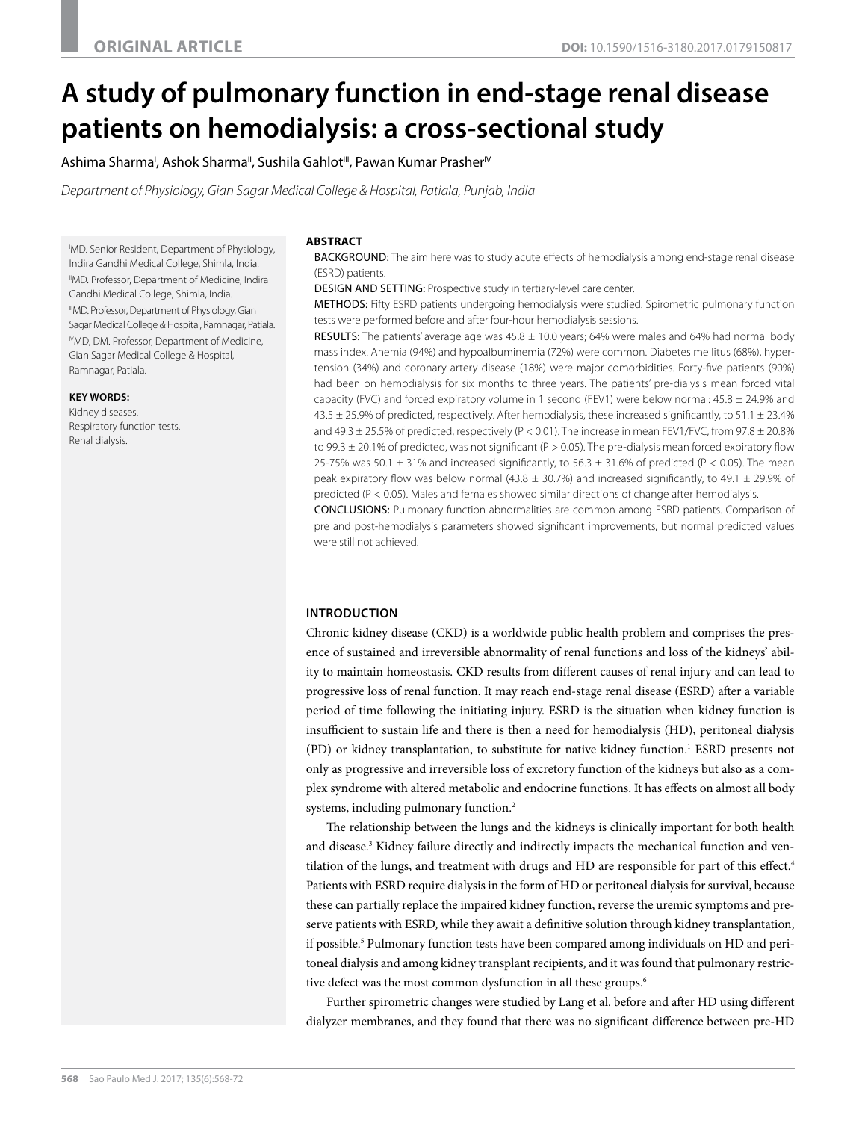# **A study of pulmonary function in end-stage renal disease patients on hemodialysis: a cross-sectional study**

Ashima Sharma', Ashok Sharma", Sushila Gahlot''', Pawan Kumar Prasher'<sup>v</sup>

*Department of Physiology, Gian Sagar Medical College & Hospital, Patiala, Punjab, India*

I MD. Senior Resident, Department of Physiology, Indira Gandhi Medical College, Shimla, India. "MD. Professor, Department of Medicine, Indira Gandhi Medical College, Shimla, India. IIIMD. Professor, Department of Physiology, Gian Sagar Medical College & Hospital, Ramnagar, Patiala. <sup>IV</sup>MD. DM. Professor, Department of Medicine, Gian Sagar Medical College & Hospital, Ramnagar, Patiala.

## **KEY WORDS:**

Kidney diseases. Respiratory function tests. Renal dialysis.

#### **ABSTRACT**

BACKGROUND: The aim here was to study acute effects of hemodialysis among end-stage renal disease (ESRD) patients.

DESIGN AND SETTING: Prospective study in tertiary-level care center.

METHODS: Fifty ESRD patients undergoing hemodialysis were studied. Spirometric pulmonary function tests were performed before and after four-hour hemodialysis sessions.

**RESULTS:** The patients' average age was  $45.8 \pm 10.0$  years; 64% were males and 64% had normal body mass index. Anemia (94%) and hypoalbuminemia (72%) were common. Diabetes mellitus (68%), hypertension (34%) and coronary artery disease (18%) were major comorbidities. Forty-five patients (90%) had been on hemodialysis for six months to three years. The patients' pre-dialysis mean forced vital capacity (FVC) and forced expiratory volume in 1 second (FEV1) were below normal:  $45.8 \pm 24.9\%$  and  $43.5 \pm 25.9\%$  of predicted, respectively. After hemodialysis, these increased significantly, to  $51.1 \pm 23.4\%$ and 49.3  $\pm$  25.5% of predicted, respectively (P < 0.01). The increase in mean FEV1/FVC, from 97.8  $\pm$  20.8% to 99.3 ± 20.1% of predicted, was not significant (P > 0.05). The pre-dialysis mean forced expiratory flow 25-75% was 50.1  $\pm$  31% and increased significantly, to 56.3  $\pm$  31.6% of predicted (P < 0.05). The mean peak expiratory flow was below normal (43.8  $\pm$  30.7%) and increased significantly, to 49.1  $\pm$  29.9% of predicted (P < 0.05). Males and females showed similar directions of change after hemodialysis.

CONCLUSIONS: Pulmonary function abnormalities are common among ESRD patients. Comparison of pre and post-hemodialysis parameters showed significant improvements, but normal predicted values were still not achieved.

## **INTRODUCTION**

Chronic kidney disease (CKD) is a worldwide public health problem and comprises the presence of sustained and irreversible abnormality of renal functions and loss of the kidneys' ability to maintain homeostasis. CKD results from different causes of renal injury and can lead to progressive loss of renal function. It may reach end-stage renal disease (ESRD) after a variable period of time following the initiating injury. ESRD is the situation when kidney function is insufficient to sustain life and there is then a need for hemodialysis (HD), peritoneal dialysis (PD) or kidney transplantation, to substitute for native kidney function.1 ESRD presents not only as progressive and irreversible loss of excretory function of the kidneys but also as a complex syndrome with altered metabolic and endocrine functions. It has effects on almost all body systems, including pulmonary function.<sup>2</sup>

The relationship between the lungs and the kidneys is clinically important for both health and disease.3 Kidney failure directly and indirectly impacts the mechanical function and ventilation of the lungs, and treatment with drugs and HD are responsible for part of this effect.<sup>4</sup> Patients with ESRD require dialysis in the form of HD or peritoneal dialysis for survival, because these can partially replace the impaired kidney function, reverse the uremic symptoms and preserve patients with ESRD, while they await a definitive solution through kidney transplantation, if possible.<sup>5</sup> Pulmonary function tests have been compared among individuals on HD and peritoneal dialysis and among kidney transplant recipients, and it was found that pulmonary restrictive defect was the most common dysfunction in all these groups.<sup>6</sup>

Further spirometric changes were studied by Lang et al. before and after HD using different dialyzer membranes, and they found that there was no significant difference between pre-HD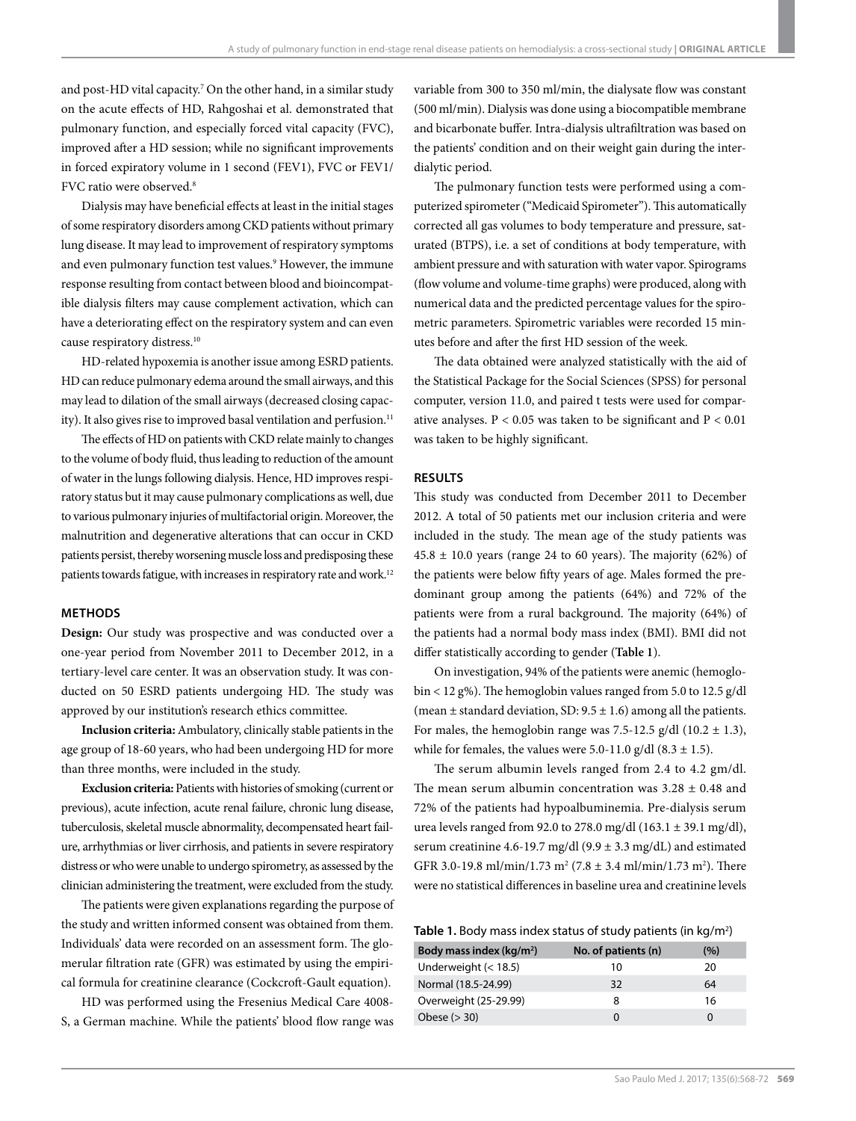and post-HD vital capacity.7 On the other hand, in a similar study on the acute effects of HD, Rahgoshai et al. demonstrated that pulmonary function, and especially forced vital capacity (FVC), improved after a HD session; while no significant improvements in forced expiratory volume in 1 second (FEV1), FVC or FEV1/ FVC ratio were observed.<sup>8</sup>

Dialysis may have beneficial effects at least in the initial stages of some respiratory disorders among CKD patients without primary lung disease. It may lead to improvement of respiratory symptoms and even pulmonary function test values.<sup>9</sup> However, the immune response resulting from contact between blood and bioincompatible dialysis filters may cause complement activation, which can have a deteriorating effect on the respiratory system and can even cause respiratory distress.10

HD-related hypoxemia is another issue among ESRD patients. HD can reduce pulmonary edema around the small airways, and this may lead to dilation of the small airways (decreased closing capacity). It also gives rise to improved basal ventilation and perfusion.<sup>11</sup>

The effects of HD on patients with CKD relate mainly to changes to the volume of body fluid, thus leading to reduction of the amount of water in the lungs following dialysis. Hence, HD improves respiratory status but it may cause pulmonary complications as well, due to various pulmonary injuries of multifactorial origin. Moreover, the malnutrition and degenerative alterations that can occur in CKD patients persist, thereby worsening muscle loss and predisposing these patients towards fatigue, with increases in respiratory rate and work.<sup>12</sup>

## **METHODS**

**Design:** Our study was prospective and was conducted over a one-year period from November 2011 to December 2012, in a tertiary-level care center. It was an observation study. It was conducted on 50 ESRD patients undergoing HD. The study was approved by our institution's research ethics committee.

**Inclusion criteria:** Ambulatory, clinically stable patients in the age group of 18-60 years, who had been undergoing HD for more than three months, were included in the study.

**Exclusion criteria:** Patients with histories of smoking (current or previous), acute infection, acute renal failure, chronic lung disease, tuberculosis, skeletal muscle abnormality, decompensated heart failure, arrhythmias or liver cirrhosis, and patients in severe respiratory distress or who were unable to undergo spirometry, as assessed by the clinician administering the treatment, were excluded from the study.

The patients were given explanations regarding the purpose of the study and written informed consent was obtained from them. Individuals' data were recorded on an assessment form. The glomerular filtration rate (GFR) was estimated by using the empirical formula for creatinine clearance (Cockcroft-Gault equation).

HD was performed using the Fresenius Medical Care 4008- S, a German machine. While the patients' blood flow range was variable from 300 to 350 ml/min, the dialysate flow was constant (500 ml/min). Dialysis was done using a biocompatible membrane and bicarbonate buffer. Intra-dialysis ultrafiltration was based on the patients' condition and on their weight gain during the interdialytic period.

The pulmonary function tests were performed using a computerized spirometer ("Medicaid Spirometer"). This automatically corrected all gas volumes to body temperature and pressure, saturated (BTPS), i.e. a set of conditions at body temperature, with ambient pressure and with saturation with water vapor. Spirograms (flow volume and volume-time graphs) were produced, along with numerical data and the predicted percentage values for the spirometric parameters. Spirometric variables were recorded 15 minutes before and after the first HD session of the week.

The data obtained were analyzed statistically with the aid of the Statistical Package for the Social Sciences (SPSS) for personal computer, version 11.0, and paired t tests were used for comparative analyses.  $P < 0.05$  was taken to be significant and  $P < 0.01$ was taken to be highly significant.

#### **RESULTS**

This study was conducted from December 2011 to December 2012. A total of 50 patients met our inclusion criteria and were included in the study. The mean age of the study patients was  $45.8 \pm 10.0$  years (range 24 to 60 years). The majority (62%) of the patients were below fifty years of age. Males formed the predominant group among the patients (64%) and 72% of the patients were from a rural background. The majority (64%) of the patients had a normal body mass index (BMI). BMI did not differ statistically according to gender (**Table 1**).

On investigation, 94% of the patients were anemic (hemoglobin < 12 g%). The hemoglobin values ranged from 5.0 to 12.5 g/dl (mean  $\pm$  standard deviation, SD: 9.5  $\pm$  1.6) among all the patients. For males, the hemoglobin range was 7.5-12.5 g/dl  $(10.2 \pm 1.3)$ , while for females, the values were 5.0-11.0 g/dl  $(8.3 \pm 1.5)$ .

The serum albumin levels ranged from 2.4 to 4.2 gm/dl. The mean serum albumin concentration was  $3.28 \pm 0.48$  and 72% of the patients had hypoalbuminemia. Pre-dialysis serum urea levels ranged from 92.0 to 278.0 mg/dl  $(163.1 \pm 39.1 \text{ mg/dl})$ , serum creatinine 4.6-19.7 mg/dl (9.9  $\pm$  3.3 mg/dL) and estimated GFR 3.0-19.8 ml/min/1.73 m<sup>2</sup> (7.8  $\pm$  3.4 ml/min/1.73 m<sup>2</sup>). There were no statistical differences in baseline urea and creatinine levels

| Table 1. Body mass index status of study patients (in kg/m <sup>2</sup> ) |
|---------------------------------------------------------------------------|
|---------------------------------------------------------------------------|

| Body mass index $(kg/m2)$ | No. of patients (n) | (%) |
|---------------------------|---------------------|-----|
| Underweight $(< 18.5)$    | 10                  | 20  |
| Normal (18.5-24.99)       | 32                  | 64  |
| Overweight (25-29.99)     | 8                   | 16  |
| Obese $(>30)$             | 0                   | Ω   |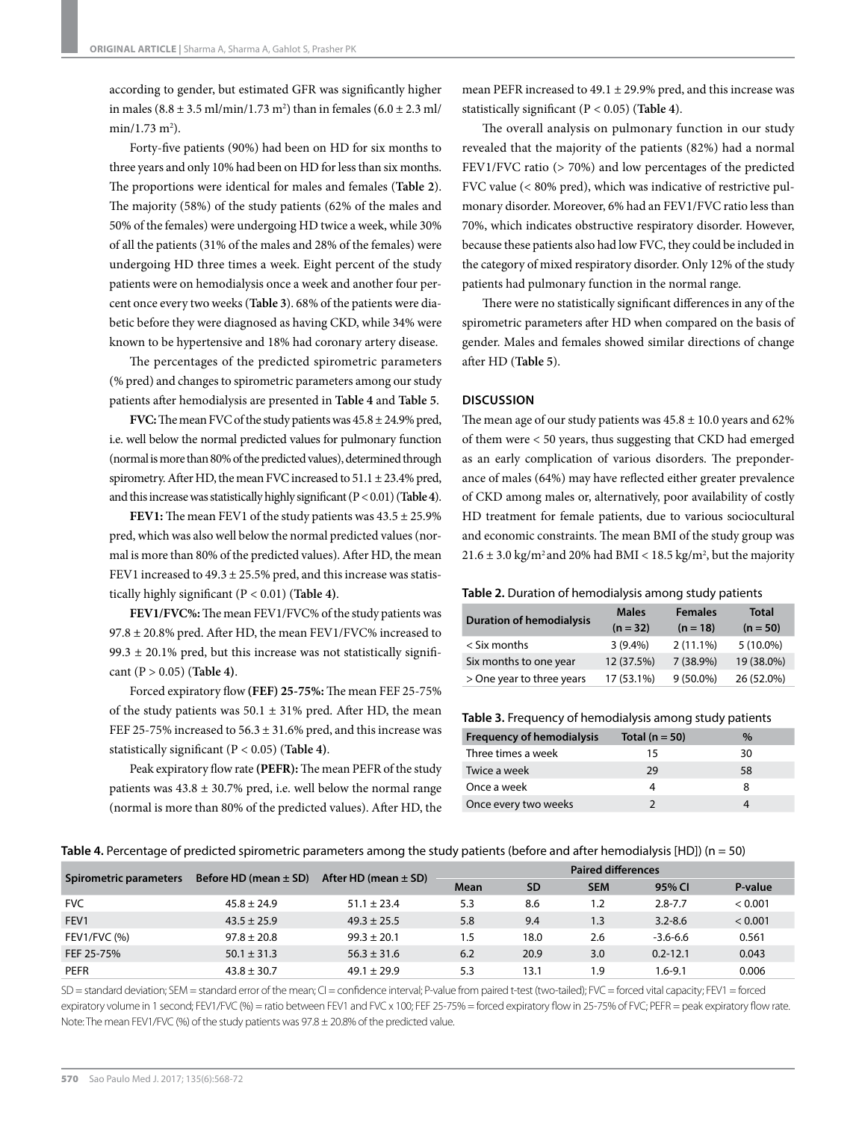according to gender, but estimated GFR was significantly higher in males  $(8.8 \pm 3.5 \text{ ml/min}/1.73 \text{ m}^2)$  than in females  $(6.0 \pm 2.3 \text{ ml/m}^2)$  $min/1.73$  m<sup>2</sup>).

Forty-five patients (90%) had been on HD for six months to three years and only 10% had been on HD for less than six months. The proportions were identical for males and females (**Table 2**). The majority (58%) of the study patients (62% of the males and 50% of the females) were undergoing HD twice a week, while 30% of all the patients (31% of the males and 28% of the females) were undergoing HD three times a week. Eight percent of the study patients were on hemodialysis once a week and another four percent once every two weeks (**Table 3**). 68% of the patients were diabetic before they were diagnosed as having CKD, while 34% were known to be hypertensive and 18% had coronary artery disease.

The percentages of the predicted spirometric parameters (% pred) and changes to spirometric parameters among our study patients after hemodialysis are presented in **Table 4** and **Table 5**.

**FVC:** The mean FVC of the study patients was 45.8 ± 24.9% pred, i.e. well below the normal predicted values for pulmonary function (normal is more than 80% of the predicted values), determined through spirometry. After HD, the mean FVC increased to  $51.1 \pm 23.4\%$  pred, and this increase was statistically highly significant (P < 0.01) (**Table 4**).

**FEV1:** The mean FEV1 of the study patients was 43.5 ± 25.9% pred, which was also well below the normal predicted values (normal is more than 80% of the predicted values). After HD, the mean FEV1 increased to  $49.3 \pm 25.5\%$  pred, and this increase was statistically highly significant (P < 0.01) (**Table 4)**.

**FEV1/FVC%:** The mean FEV1/FVC% of the study patients was  $97.8 \pm 20.8\%$  pred. After HD, the mean FEV1/FVC% increased to 99.3  $\pm$  20.1% pred, but this increase was not statistically significant (P > 0.05) (**Table 4)**.

Forced expiratory flow **(FEF) 25-75%:** The mean FEF 25-75% of the study patients was  $50.1 \pm 31\%$  pred. After HD, the mean FEF 25-75% increased to  $56.3 \pm 31.6$ % pred, and this increase was statistically significant (P < 0.05) (**Table 4)**.

Peak expiratory flow rate **(PEFR):** The mean PEFR of the study patients was  $43.8 \pm 30.7\%$  pred, i.e. well below the normal range (normal is more than 80% of the predicted values). After HD, the mean PEFR increased to  $49.1 \pm 29.9\%$  pred, and this increase was statistically significant (P < 0.05) (**Table 4**).

The overall analysis on pulmonary function in our study revealed that the majority of the patients (82%) had a normal FEV1/FVC ratio (> 70%) and low percentages of the predicted FVC value (< 80% pred), which was indicative of restrictive pulmonary disorder. Moreover, 6% had an FEV1/FVC ratio less than 70%, which indicates obstructive respiratory disorder. However, because these patients also had low FVC, they could be included in the category of mixed respiratory disorder. Only 12% of the study patients had pulmonary function in the normal range.

There were no statistically significant differences in any of the spirometric parameters after HD when compared on the basis of gender. Males and females showed similar directions of change after HD (**Table 5**).

# **DISCUSSION**

The mean age of our study patients was  $45.8 \pm 10.0$  years and  $62\%$ of them were < 50 years, thus suggesting that CKD had emerged as an early complication of various disorders. The preponderance of males (64%) may have reflected either greater prevalence of CKD among males or, alternatively, poor availability of costly HD treatment for female patients, due to various sociocultural and economic constraints. The mean BMI of the study group was  $21.6 \pm 3.0$  kg/m<sup>2</sup> and 20% had BMI <  $18.5$  kg/m<sup>2</sup>, but the majority

#### **Table 2.** Duration of hemodialysis among study patients

| <b>Duration of hemodialysis</b> | <b>Males</b> | <b>Females</b> | <b>Total</b> |
|---------------------------------|--------------|----------------|--------------|
|                                 | $(n = 32)$   | $(n = 18)$     | $(n = 50)$   |
| $<$ Six months                  | $3(9.4\%)$   | $2(11.1\%)$    | $5(10.0\%)$  |
| Six months to one year          | 12 (37.5%)   | 7 (38.9%)      | 19 (38.0%)   |
| > One year to three years       | 17 (53.1%)   | $9(50.0\%)$    | 26 (52.0%)   |

| <b>Frequency of hemodialysis</b> | Total ( $n = 50$ ) | $\%$ |
|----------------------------------|--------------------|------|
| Three times a week               | 15                 | 30   |
| Twice a week                     | 29                 | 58   |
| Once a week                      |                    |      |
| Once every two weeks             |                    |      |

| Table 4. Percentage of predicted spirometric parameters among the study patients (before and after hemodialysis [HD]) ( $n = 50$ ) |  |  |  |  |  |
|------------------------------------------------------------------------------------------------------------------------------------|--|--|--|--|--|
|                                                                                                                                    |  |  |  |  |  |

|                        |                           |                          | <b>Paired differences</b> |           |            |              |         |
|------------------------|---------------------------|--------------------------|---------------------------|-----------|------------|--------------|---------|
| Spirometric parameters | Before HD (mean $\pm$ SD) | After HD (mean $\pm$ SD) | Mean                      | <b>SD</b> | <b>SEM</b> | 95% CI       | P-value |
| <b>FVC</b>             | $45.8 \pm 24.9$           | $51.1 \pm 23.4$          | 5.3                       | 8.6       | 1.2        | $2.8 - 7.7$  | < 0.001 |
| FEV <sub>1</sub>       | $43.5 \pm 25.9$           | $49.3 \pm 25.5$          | 5.8                       | 9.4       | 1.3        | $3.2 - 8.6$  | < 0.001 |
| <b>FEV1/FVC (%)</b>    | $97.8 \pm 20.8$           | $99.3 \pm 20.1$          | 1.5                       | 18.0      | 2.6        | $-3.6 - 6.6$ | 0.561   |
| FEF 25-75%             | $50.1 \pm 31.3$           | $56.3 \pm 31.6$          | 6.2                       | 20.9      | 3.0        | $0.2 - 12.1$ | 0.043   |
| <b>PEFR</b>            | $43.8 \pm 30.7$           | $49.1 \pm 29.9$          | 5.3                       | 13.1      | 9.۱        | 1.6-9.1      | 0.006   |

SD = standard deviation; SEM = standard error of the mean; CI = confidence interval; P-value from paired t-test (two-tailed); FVC = forced vital capacity; FEV1 = forced expiratory volume in 1 second; FEV1/FVC (%) = ratio between FEV1 and FVC x 100; FEF 25-75% = forced expiratory flow in 25-75% of FVC; PEFR = peak expiratory flow rate. Note: The mean FEV1/FVC (%) of the study patients was 97.8 ± 20.8% of the predicted value.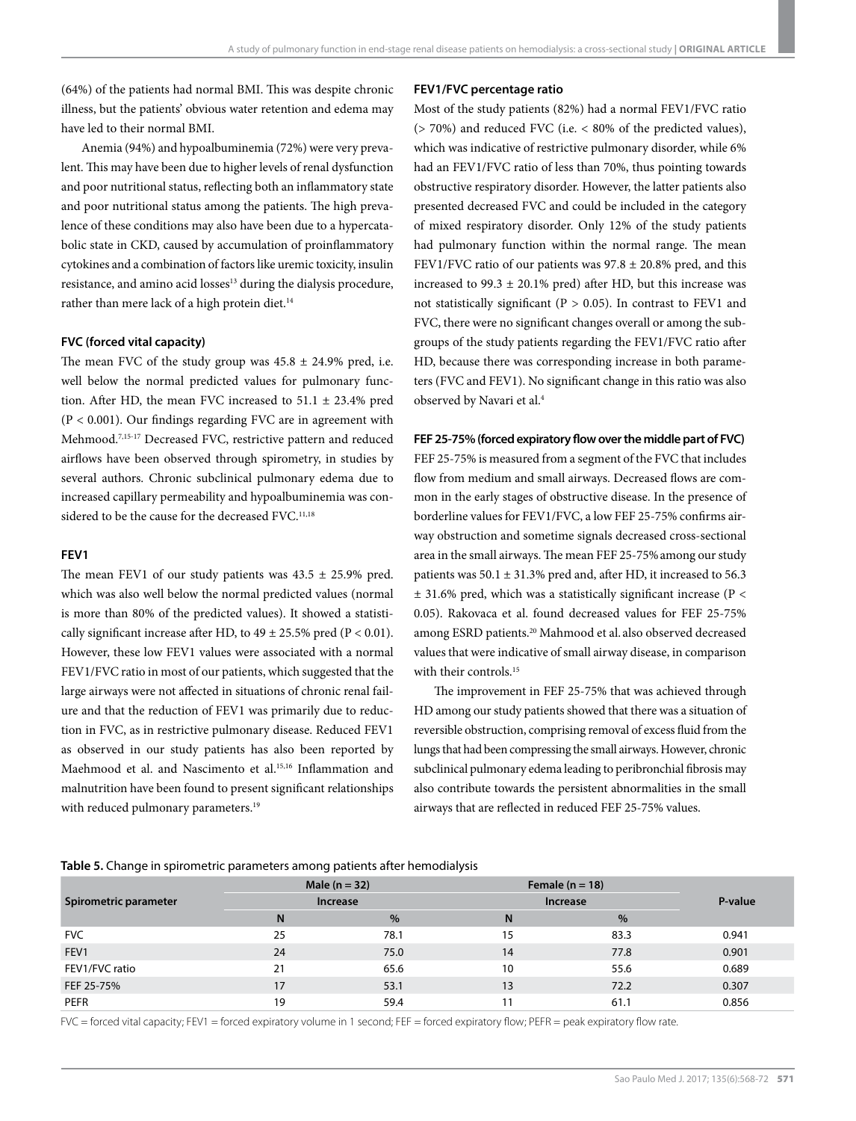(64%) of the patients had normal BMI. This was despite chronic illness, but the patients' obvious water retention and edema may have led to their normal BMI.

Anemia (94%) and hypoalbuminemia (72%) were very prevalent. This may have been due to higher levels of renal dysfunction and poor nutritional status, reflecting both an inflammatory state and poor nutritional status among the patients. The high prevalence of these conditions may also have been due to a hypercatabolic state in CKD, caused by accumulation of proinflammatory cytokines and a combination of factors like uremic toxicity, insulin resistance, and amino acid losses<sup>13</sup> during the dialysis procedure, rather than mere lack of a high protein diet.<sup>14</sup>

## **FVC (forced vital capacity)**

The mean FVC of the study group was  $45.8 \pm 24.9\%$  pred, i.e. well below the normal predicted values for pulmonary function. After HD, the mean FVC increased to  $51.1 \pm 23.4\%$  pred (P < 0.001). Our findings regarding FVC are in agreement with Mehmood.7,15-17 Decreased FVC, restrictive pattern and reduced airflows have been observed through spirometry, in studies by several authors. Chronic subclinical pulmonary edema due to increased capillary permeability and hypoalbuminemia was considered to be the cause for the decreased FVC.<sup>11,18</sup>

# **FEV1**

The mean FEV1 of our study patients was  $43.5 \pm 25.9\%$  pred. which was also well below the normal predicted values (normal is more than 80% of the predicted values). It showed a statistically significant increase after HD, to  $49 \pm 25.5\%$  pred (P < 0.01). However, these low FEV1 values were associated with a normal FEV1/FVC ratio in most of our patients, which suggested that the large airways were not affected in situations of chronic renal failure and that the reduction of FEV1 was primarily due to reduction in FVC, as in restrictive pulmonary disease. Reduced FEV1 as observed in our study patients has also been reported by Maehmood et al. and Nascimento et al.15,16 Inflammation and malnutrition have been found to present significant relationships with reduced pulmonary parameters.<sup>19</sup>

### **FEV1/FVC percentage ratio**

Most of the study patients (82%) had a normal FEV1/FVC ratio (> 70%) and reduced FVC (i.e. < 80% of the predicted values), which was indicative of restrictive pulmonary disorder, while 6% had an FEV1/FVC ratio of less than 70%, thus pointing towards obstructive respiratory disorder. However, the latter patients also presented decreased FVC and could be included in the category of mixed respiratory disorder. Only 12% of the study patients had pulmonary function within the normal range. The mean FEV1/FVC ratio of our patients was  $97.8 \pm 20.8\%$  pred, and this increased to 99.3  $\pm$  20.1% pred) after HD, but this increase was not statistically significant ( $P > 0.05$ ). In contrast to FEV1 and FVC, there were no significant changes overall or among the subgroups of the study patients regarding the FEV1/FVC ratio after HD, because there was corresponding increase in both parameters (FVC and FEV1). No significant change in this ratio was also observed by Navari et al.4

## **FEF 25-75% (forced expiratory flow over the middle part of FVC)**

FEF 25-75% is measured from a segment of the FVC that includes flow from medium and small airways. Decreased flows are common in the early stages of obstructive disease. In the presence of borderline values for FEV1/FVC, a low FEF 25-75% confirms airway obstruction and sometime signals decreased cross-sectional area in the small airways. The mean FEF 25-75%among our study patients was  $50.1 \pm 31.3\%$  pred and, after HD, it increased to  $56.3$  $\pm$  31.6% pred, which was a statistically significant increase (P < 0.05). Rakovaca et al. found decreased values for FEF 25-75% among ESRD patients.20 Mahmood et al. also observed decreased values that were indicative of small airway disease, in comparison with their controls.<sup>15</sup>

The improvement in FEF 25-75% that was achieved through HD among our study patients showed that there was a situation of reversible obstruction, comprising removal of excess fluid from the lungs that had been compressing the small airways. However, chronic subclinical pulmonary edema leading to peribronchial fibrosis may also contribute towards the persistent abnormalities in the small airways that are reflected in reduced FEF 25-75% values.

# **Table 5.** Change in spirometric parameters among patients after hemodialysis

|                       | Male $(n = 32)$ |      | Female $(n = 18)$ | P-value |       |
|-----------------------|-----------------|------|-------------------|---------|-------|
| Spirometric parameter | <b>Increase</b> |      | <b>Increase</b>   |         |       |
|                       | N               | $\%$ | N                 | $\%$    |       |
| <b>FVC</b>            | 25              | 78.1 | 15                | 83.3    | 0.941 |
| FEV1                  | 24              | 75.0 | 14                | 77.8    | 0.901 |
| FEV1/FVC ratio        | 21              | 65.6 | 10                | 55.6    | 0.689 |
| FEF 25-75%            | 17              | 53.1 | 13                | 72.2    | 0.307 |
| <b>PEFR</b>           | 19              | 59.4 | 11                | 61.1    | 0.856 |

FVC = forced vital capacity; FEV1 = forced expiratory volume in 1 second; FEF = forced expiratory flow; PEFR = peak expiratory flow rate.